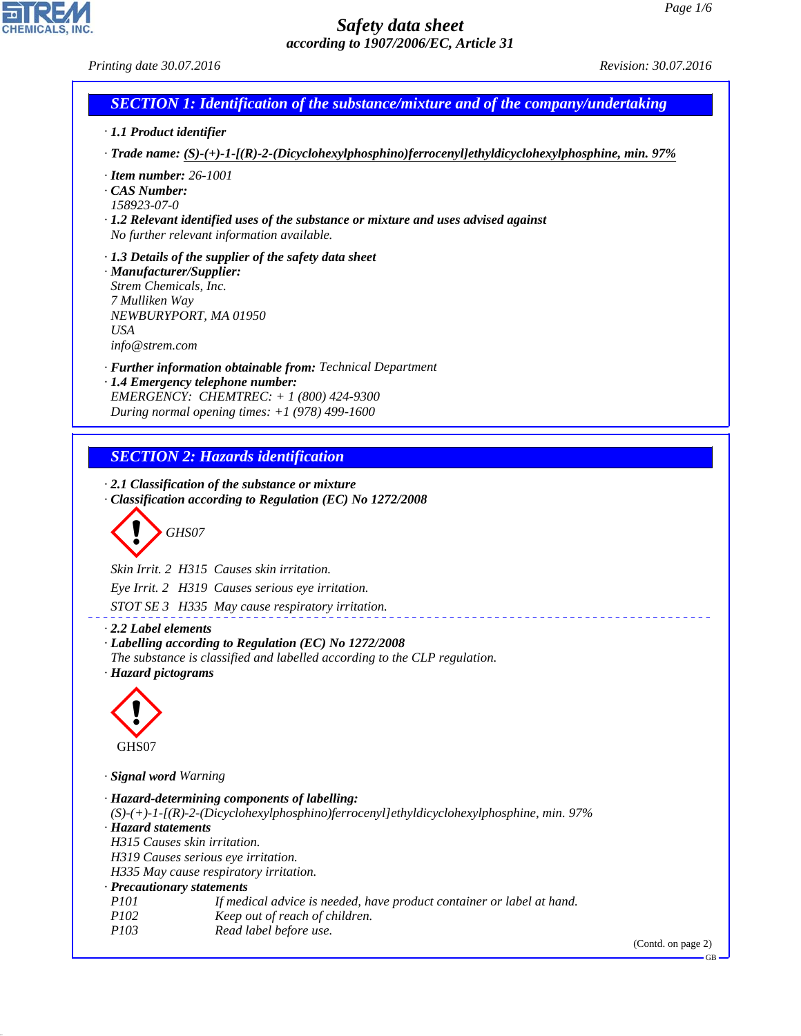*Printing date 30.07.2016 Revision: 30.07.2016*

# *SECTION 1: Identification of the substance/mixture and of the company/undertaking*

- *· 1.1 Product identifier*
- *· Trade name: (S)-(+)-1-[(R)-2-(Dicyclohexylphosphino)ferrocenyl]ethyldicyclohexylphosphine, min. 97%*
- *· Item number: 26-1001*
- *· CAS Number:*
- *158923-07-0*
- *· 1.2 Relevant identified uses of the substance or mixture and uses advised against No further relevant information available.*
- *· 1.3 Details of the supplier of the safety data sheet · Manufacturer/Supplier:*
- *Strem Chemicals, Inc. 7 Mulliken Way NEWBURYPORT, MA 01950 USA info@strem.com*
- *· Further information obtainable from: Technical Department*
- *· 1.4 Emergency telephone number: EMERGENCY: CHEMTREC: + 1 (800) 424-9300 During normal opening times: +1 (978) 499-1600*

# *SECTION 2: Hazards identification*

- *· 2.1 Classification of the substance or mixture*
- *· Classification according to Regulation (EC) No 1272/2008*

d~*GHS07*

*Skin Irrit. 2 H315 Causes skin irritation. Eye Irrit. 2 H319 Causes serious eye irritation.*

*STOT SE 3 H335 May cause respiratory irritation.*

*· 2.2 Label elements*

- *· Labelling according to Regulation (EC) No 1272/2008*
- *The substance is classified and labelled according to the CLP regulation. · Hazard pictograms*



*· Signal word Warning*

| · Hazard-determining components of labelling:                                                   |
|-------------------------------------------------------------------------------------------------|
| $(S)-(+)$ -1-[(R)-2-(Dicyclohexylphosphino)ferrocenyl]ethyldicyclohexylphosphine, min. 97%      |
| · Hazard statements                                                                             |
| H315 Causes skin irritation.                                                                    |
| H319 Causes serious eye irritation.                                                             |
| H335 May cause respiratory irritation.                                                          |
| · Precautionary statements                                                                      |
| If medical advice is needed, have product container or label at hand.<br><i>P<sub>101</sub></i> |
| Keep out of reach of children.<br>P102                                                          |
| Read label before use.<br><i>P103</i>                                                           |
|                                                                                                 |

<u>. . . . . . . . . . . . .</u>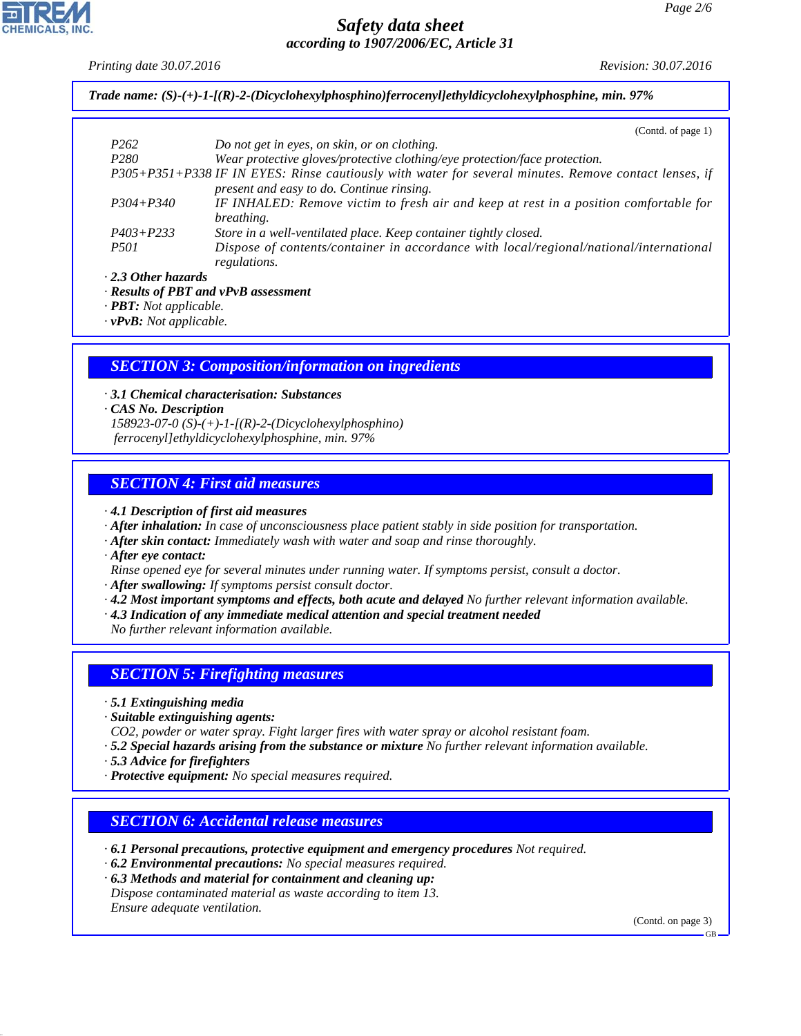*Printing date 30.07.2016 Revision: 30.07.2016*

*Trade name: (S)-(+)-1-[(R)-2-(Dicyclohexylphosphino)ferrocenyl]ethyldicyclohexylphosphine, min. 97%*

|                           | (Contd. of page 1)                                                                                                                                 |
|---------------------------|----------------------------------------------------------------------------------------------------------------------------------------------------|
| P <sub>262</sub>          | Do not get in eyes, on skin, or on clothing.                                                                                                       |
| P <sub>280</sub>          | Wear protective gloves/protective clothing/eye protection/face protection.                                                                         |
|                           | P305+P351+P338 IF IN EYES: Rinse cautiously with water for several minutes. Remove contact lenses, if<br>present and easy to do. Continue rinsing. |
| $P304 + P340$             | IF INHALED: Remove victim to fresh air and keep at rest in a position comfortable for<br><i>breathing.</i>                                         |
| $P403 + P233$             | Store in a well-ventilated place. Keep container tightly closed.                                                                                   |
| <i>P501</i>               | Dispose of contents/container in accordance with local/regional/national/international<br>regulations.                                             |
| $\cdot$ 2.3 Other hazards |                                                                                                                                                    |

*· Results of PBT and vPvB assessment*

*· PBT: Not applicable.*

*· vPvB: Not applicable.*

*SECTION 3: Composition/information on ingredients*

*· 3.1 Chemical characterisation: Substances*

*· CAS No. Description*

*158923-07-0 (S)-(+)-1-[(R)-2-(Dicyclohexylphosphino) ferrocenyl]ethyldicyclohexylphosphine, min. 97%*

#### *SECTION 4: First aid measures*

*· 4.1 Description of first aid measures*

- *· After inhalation: In case of unconsciousness place patient stably in side position for transportation.*
- *· After skin contact: Immediately wash with water and soap and rinse thoroughly.*

*· After eye contact:*

*Rinse opened eye for several minutes under running water. If symptoms persist, consult a doctor.*

- *· After swallowing: If symptoms persist consult doctor.*
- *· 4.2 Most important symptoms and effects, both acute and delayed No further relevant information available.*
- *· 4.3 Indication of any immediate medical attention and special treatment needed*

*No further relevant information available.*

## *SECTION 5: Firefighting measures*

- *· 5.1 Extinguishing media*
- *· Suitable extinguishing agents:*
- *CO2, powder or water spray. Fight larger fires with water spray or alcohol resistant foam.*
- *· 5.2 Special hazards arising from the substance or mixture No further relevant information available.*
- *· 5.3 Advice for firefighters*
- *· Protective equipment: No special measures required.*

#### *SECTION 6: Accidental release measures*

- *· 6.1 Personal precautions, protective equipment and emergency procedures Not required.*
- *· 6.2 Environmental precautions: No special measures required.*
- *· 6.3 Methods and material for containment and cleaning up: Dispose contaminated material as waste according to item 13. Ensure adequate ventilation.*

(Contd. on page 3)



GB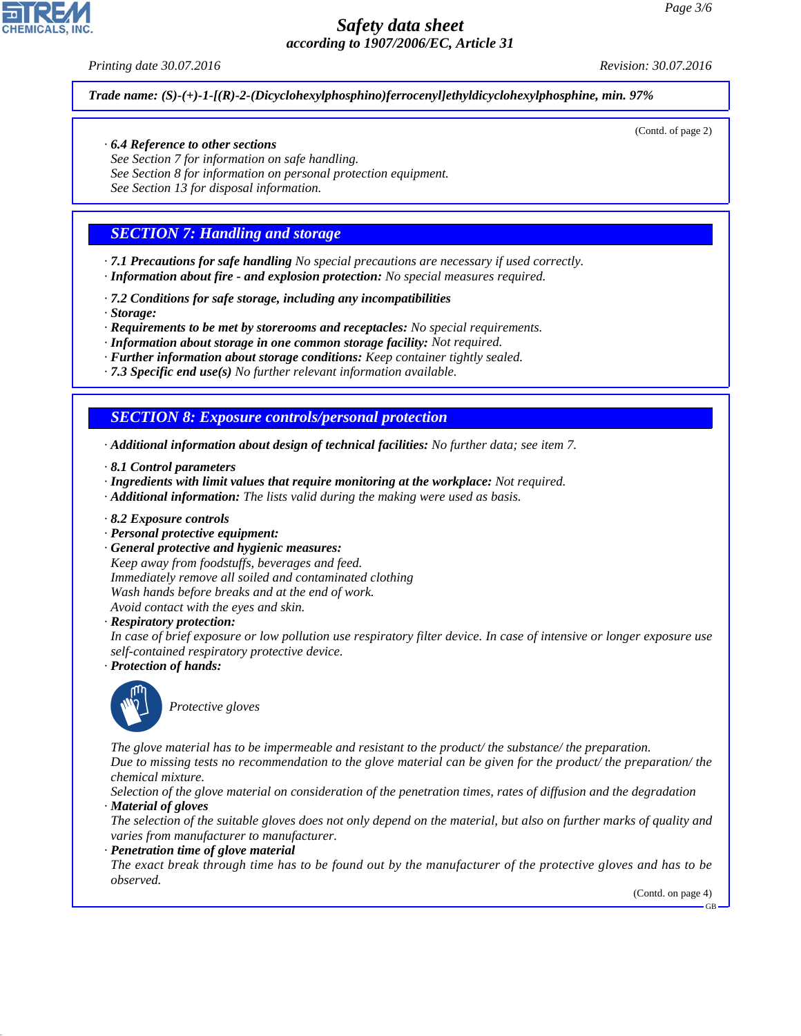*Printing date 30.07.2016 Revision: 30.07.2016*

(Contd. of page 2)

*Trade name: (S)-(+)-1-[(R)-2-(Dicyclohexylphosphino)ferrocenyl]ethyldicyclohexylphosphine, min. 97%*

#### *· 6.4 Reference to other sections*

*See Section 7 for information on safe handling. See Section 8 for information on personal protection equipment. See Section 13 for disposal information.*

# *SECTION 7: Handling and storage*

*· 7.1 Precautions for safe handling No special precautions are necessary if used correctly. · Information about fire - and explosion protection: No special measures required.*

- *· 7.2 Conditions for safe storage, including any incompatibilities*
- *· Storage:*
- *· Requirements to be met by storerooms and receptacles: No special requirements.*

*· Information about storage in one common storage facility: Not required.*

- *· Further information about storage conditions: Keep container tightly sealed.*
- *· 7.3 Specific end use(s) No further relevant information available.*

#### *SECTION 8: Exposure controls/personal protection*

- *· Additional information about design of technical facilities: No further data; see item 7.*
- *· 8.1 Control parameters*
- *· Ingredients with limit values that require monitoring at the workplace: Not required.*
- *· Additional information: The lists valid during the making were used as basis.*
- *· 8.2 Exposure controls*
- *· Personal protective equipment:*
- *· General protective and hygienic measures:*

*Keep away from foodstuffs, beverages and feed. Immediately remove all soiled and contaminated clothing Wash hands before breaks and at the end of work. Avoid contact with the eyes and skin.*

*· Respiratory protection:*

*In case of brief exposure or low pollution use respiratory filter device. In case of intensive or longer exposure use self-contained respiratory protective device.*

*· Protection of hands:*



\_S*Protective gloves*

*The glove material has to be impermeable and resistant to the product/ the substance/ the preparation.*

*Due to missing tests no recommendation to the glove material can be given for the product/ the preparation/ the chemical mixture.*

*Selection of the glove material on consideration of the penetration times, rates of diffusion and the degradation · Material of gloves*

*The selection of the suitable gloves does not only depend on the material, but also on further marks of quality and varies from manufacturer to manufacturer.*

*· Penetration time of glove material*

*The exact break through time has to be found out by the manufacturer of the protective gloves and has to be observed.*

(Contd. on page 4)

GB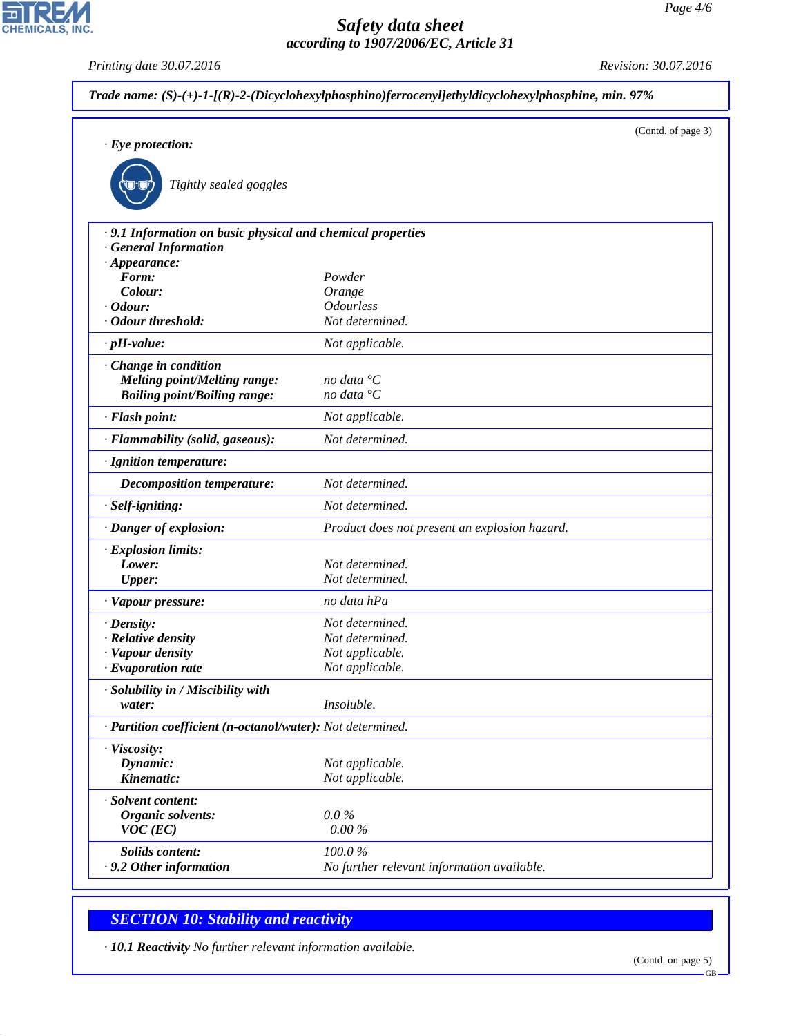*Printing date 30.07.2016 Revision: 30.07.2016*

CHEMICALS, INC.

|                                                                                                                                                                              | Trade name: $(S)-(+)$ -1-[ $(R)-2$ -(Dicyclohexylphosphino)ferrocenyl]ethyldicyclohexylphosphine, min. 97% |  |  |
|------------------------------------------------------------------------------------------------------------------------------------------------------------------------------|------------------------------------------------------------------------------------------------------------|--|--|
| $\cdot$ Eye protection:<br>Tightly sealed goggles                                                                                                                            | (Contd. of page 3)                                                                                         |  |  |
| · 9.1 Information on basic physical and chemical properties<br><b>General Information</b><br>$\cdot$ Appearance:<br>Form:<br>Colour:<br>$\cdot$ Odour:<br>· Odour threshold: | Powder<br>Orange<br><b>Odourless</b><br>Not determined.                                                    |  |  |
| $\cdot$ pH-value:                                                                                                                                                            | Not applicable.                                                                                            |  |  |
| Change in condition<br><b>Melting point/Melting range:</b><br><b>Boiling point/Boiling range:</b>                                                                            | no data ${}^{\circ}C$<br>no data ${}^{\circ}C$                                                             |  |  |
| · Flash point:                                                                                                                                                               | Not applicable.                                                                                            |  |  |
| · Flammability (solid, gaseous):                                                                                                                                             | Not determined.                                                                                            |  |  |
| · Ignition temperature:                                                                                                                                                      |                                                                                                            |  |  |
| <b>Decomposition temperature:</b>                                                                                                                                            | Not determined.                                                                                            |  |  |
| · Self-igniting:                                                                                                                                                             | Not determined.                                                                                            |  |  |
| · Danger of explosion:                                                                                                                                                       | Product does not present an explosion hazard.                                                              |  |  |
| $\cdot$ Explosion limits:<br>Lower:<br><b>Upper:</b>                                                                                                                         | Not determined.<br>Not determined.                                                                         |  |  |
| · Vapour pressure:                                                                                                                                                           | no data hPa                                                                                                |  |  |
| $\cdot$ Density:<br>· Relative density<br>· Vapour density<br><b>Evaporation rate</b>                                                                                        | Not determined.<br>Not determined.<br>Not applicable.<br>Not applicable.                                   |  |  |
| · Solubility in / Miscibility with<br>water:                                                                                                                                 | Insoluble.                                                                                                 |  |  |
| · Partition coefficient (n-octanol/water): Not determined.                                                                                                                   |                                                                                                            |  |  |
| · Viscosity:<br>Dynamic:<br>Kinematic:                                                                                                                                       | Not applicable.<br>Not applicable.                                                                         |  |  |
| · Solvent content:<br>Organic solvents:<br>$VOC$ (EC)                                                                                                                        | $0.0\%$<br>0.00%                                                                                           |  |  |
| Solids content:<br>.9.2 Other information                                                                                                                                    | 100.0%<br>No further relevant information available.                                                       |  |  |

# *SECTION 10: Stability and reactivity*

*· 10.1 Reactivity No further relevant information available.*

GB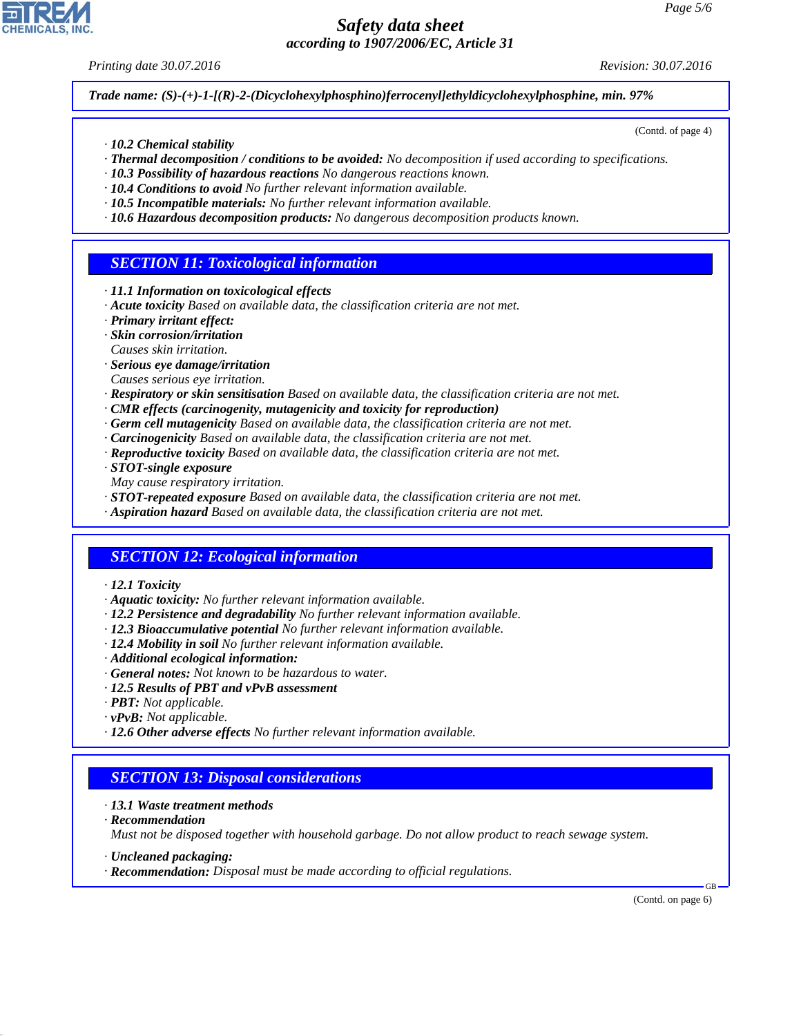*Printing date 30.07.2016 Revision: 30.07.2016*

(Contd. of page 4)

*Trade name: (S)-(+)-1-[(R)-2-(Dicyclohexylphosphino)ferrocenyl]ethyldicyclohexylphosphine, min. 97%*

- *· 10.2 Chemical stability*
- *· Thermal decomposition / conditions to be avoided: No decomposition if used according to specifications.*
- *· 10.3 Possibility of hazardous reactions No dangerous reactions known.*
- *· 10.4 Conditions to avoid No further relevant information available.*
- *· 10.5 Incompatible materials: No further relevant information available.*
- *· 10.6 Hazardous decomposition products: No dangerous decomposition products known.*

# *SECTION 11: Toxicological information*

- *· 11.1 Information on toxicological effects*
- *· Acute toxicity Based on available data, the classification criteria are not met.*
- *· Primary irritant effect:*
- *· Skin corrosion/irritation*
- *Causes skin irritation.*
- *· Serious eye damage/irritation*
- *Causes serious eye irritation.*
- *· Respiratory or skin sensitisation Based on available data, the classification criteria are not met.*
- *· CMR effects (carcinogenity, mutagenicity and toxicity for reproduction)*
- *· Germ cell mutagenicity Based on available data, the classification criteria are not met.*
- *· Carcinogenicity Based on available data, the classification criteria are not met.*
- *· Reproductive toxicity Based on available data, the classification criteria are not met.*
- *· STOT-single exposure*
- *May cause respiratory irritation.*
- *· STOT-repeated exposure Based on available data, the classification criteria are not met.*
- *· Aspiration hazard Based on available data, the classification criteria are not met.*

## *SECTION 12: Ecological information*

- *· 12.1 Toxicity*
- *· Aquatic toxicity: No further relevant information available.*
- *· 12.2 Persistence and degradability No further relevant information available.*
- *· 12.3 Bioaccumulative potential No further relevant information available.*
- *· 12.4 Mobility in soil No further relevant information available.*
- *· Additional ecological information:*
- *· General notes: Not known to be hazardous to water.*
- *· 12.5 Results of PBT and vPvB assessment*
- *· PBT: Not applicable.*
- *· vPvB: Not applicable.*
- *· 12.6 Other adverse effects No further relevant information available.*

# *SECTION 13: Disposal considerations*

- *· 13.1 Waste treatment methods*
- *· Recommendation*

*Must not be disposed together with household garbage. Do not allow product to reach sewage system.*

- *· Uncleaned packaging:*
- *· Recommendation: Disposal must be made according to official regulations.*

(Contd. on page 6)

GB